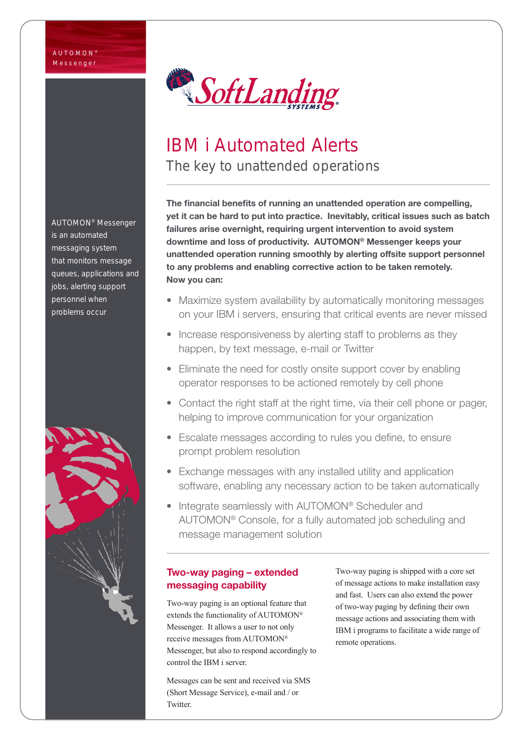

# IBM i Automated Alerts The key to unattended operations

The financial benefits of running an unattended operation are compelling, yet it can be hard to put into practice. Inevitably, critical issues such as batch failures arise overnight, requiring urgent intervention to avoid system downtime and loss of productivity. AUTOMON® Messenger keeps your unattended operation running smoothly by alerting offsite support personnel to any problems and enabling corrective action to be taken remotely. Now you can:

- Maximize system availability by automatically monitoring messages on your IBM i servers, ensuring that critical events are never missed
- Increase responsiveness by alerting staff to problems as they happen, by text message, e-mail or Twitter
- Eliminate the need for costly onsite support cover by enabling operator responses to be actioned remotely by cell phone
- Contact the right staff at the right time, via their cell phone or pager, helping to improve communication for your organization
- Escalate messages according to rules you define, to ensure prompt problem resolution
- Exchange messages with any installed utility and application software, enabling any necessary action to be taken automatically
- Integrate seamlessly with AUTOMON® Scheduler and AUTOMON® Console, for a fully automated job scheduling and message management solution

# Two-way paging – extended messaging capability

Two-way paging is an optional feature that extends the functionality of AUTOMON® Messenger. It allows a user to not only receive messages from AUTOMON® Messenger, but also to respond accordingly to control the IBM i server.

Messages can be sent and received via SMS (Short Message Service), e-mail and / or Twitter.

Two-way paging is shipped with a core set of message actions to make installation easy and fast. Users can also extend the power of two-way paging by defining their own message actions and associating them with IBM i programs to facilitate a wide range of remote operations.

AUTOMON® Messenger is an automated messaging system that monitors message queues, applications and jobs, alerting support personnel when problems occur